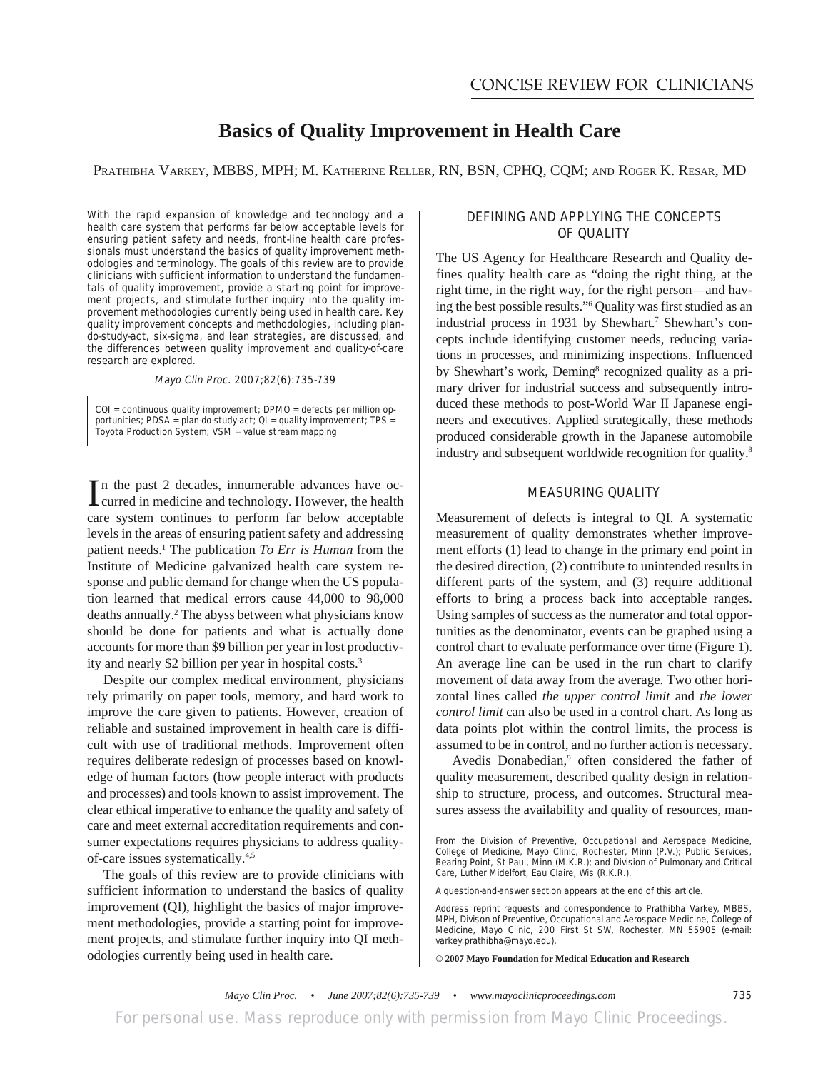# **Basics of Quality Improvement in Health Care**

PRATHIBHA VARKEY, MBBS, MPH; M. KATHERINE RELLER, RN, BSN, CPHQ, CQM; AND ROGER K. RESAR, MD

With the rapid expansion of knowledge and technology and a health care system that performs far below acceptable levels for ensuring patient safety and needs, front-line health care professionals must understand the basics of quality improvement methodologies and terminology. The goals of this review are to provide clinicians with sufficient information to understand the fundamentals of quality improvement, provide a starting point for improvement projects, and stimulate further inquiry into the quality improvement methodologies currently being used in health care. Key quality improvement concepts and methodologies, including plando-study-act, six-sigma, and lean strategies, are discussed, and the differences between quality improvement and quality-of-care research are explored.

Mayo Clin Proc. 2007;82(6):735-739

CQI = continuous quality improvement; DPMO = defects per million opportunities; PDSA = plan-do-study-act; QI = quality improvement; TPS = Toyota Production System; VSM = value stream mapping

In the past 2 decades, innumerable advances have oc-<br>curred in medicine and technology. However, the health n the past 2 decades, innumerable advances have occare system continues to perform far below acceptable levels in the areas of ensuring patient safety and addressing patient needs.1 The publication *To Err is Human* from the Institute of Medicine galvanized health care system response and public demand for change when the US population learned that medical errors cause 44,000 to 98,000 deaths annually.2 The abyss between what physicians know should be done for patients and what is actually done accounts for more than \$9 billion per year in lost productivity and nearly \$2 billion per year in hospital costs.3

Despite our complex medical environment, physicians rely primarily on paper tools, memory, and hard work to improve the care given to patients. However, creation of reliable and sustained improvement in health care is difficult with use of traditional methods. Improvement often requires deliberate redesign of processes based on knowledge of human factors (how people interact with products and processes) and tools known to assist improvement. The clear ethical imperative to enhance the quality and safety of care and meet external accreditation requirements and consumer expectations requires physicians to address qualityof-care issues systematically.4,5

The goals of this review are to provide clinicians with sufficient information to understand the basics of quality improvement (QI), highlight the basics of major improvement methodologies, provide a starting point for improvement projects, and stimulate further inquiry into QI methodologies currently being used in health care.

# DEFINING AND APPLYING THE CONCEPTS OF QUALITY

The US Agency for Healthcare Research and Quality defines quality health care as "doing the right thing, at the right time, in the right way, for the right person—and having the best possible results."6 Quality was first studied as an industrial process in 1931 by Shewhart.<sup>7</sup> Shewhart's concepts include identifying customer needs, reducing variations in processes, and minimizing inspections. Influenced by Shewhart's work, Deming<sup>8</sup> recognized quality as a primary driver for industrial success and subsequently introduced these methods to post-World War II Japanese engineers and executives. Applied strategically, these methods produced considerable growth in the Japanese automobile industry and subsequent worldwide recognition for quality.<sup>8</sup>

## MEASURING QUALITY

Measurement of defects is integral to QI. A systematic measurement of quality demonstrates whether improvement efforts (1) lead to change in the primary end point in the desired direction, (2) contribute to unintended results in different parts of the system, and (3) require additional efforts to bring a process back into acceptable ranges. Using samples of success as the numerator and total opportunities as the denominator, events can be graphed using a control chart to evaluate performance over time (Figure 1). An average line can be used in the run chart to clarify movement of data away from the average. Two other horizontal lines called *the upper control limit* and *the lower control limit* can also be used in a control chart. As long as data points plot within the control limits, the process is assumed to be in control, and no further action is necessary.

Avedis Donabedian,<sup>9</sup> often considered the father of quality measurement, described quality design in relationship to structure, process, and outcomes. Structural measures assess the availability and quality of resources, man-

A question-and-answer section appears at the end of this article.

Address reprint requests and correspondence to Prathibha Varkey, MBBS, MPH, Divison of Preventive, Occupational and Aerospace Medicine, College of Medicine, Mayo Clinic, 200 First St SW, Rochester, MN 55905 (e-mail: varkey.prathibha@mayo.edu).

**© 2007 Mayo Foundation for Medical Education and Research**

From the Division of Preventive, Occupational and Aerospace Medicine, College of Medicine, Mayo Clinic, Rochester, Minn (P.V.); Public Services, Bearing Point, St Paul, Minn (M.K.R.); and Division of Pulmonary and Critical Care, Luther Midelfort, Eau Claire, Wis (R.K.R.).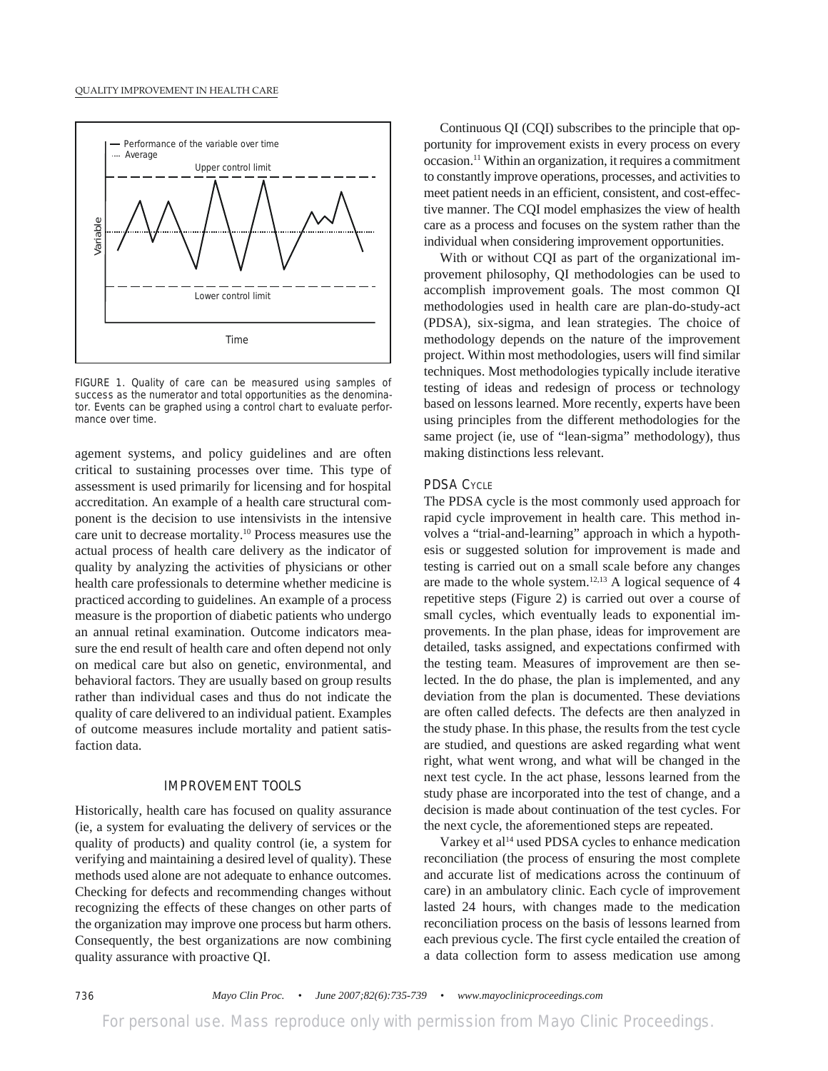

FIGURE 1. Quality of care can be measured using samples of success as the numerator and total opportunities as the denominator. Events can be graphed using a control chart to evaluate performance over time.

agement systems, and policy guidelines and are often critical to sustaining processes over time. This type of assessment is used primarily for licensing and for hospital accreditation. An example of a health care structural component is the decision to use intensivists in the intensive care unit to decrease mortality.10 Process measures use the actual process of health care delivery as the indicator of quality by analyzing the activities of physicians or other health care professionals to determine whether medicine is practiced according to guidelines. An example of a process measure is the proportion of diabetic patients who undergo an annual retinal examination. Outcome indicators measure the end result of health care and often depend not only on medical care but also on genetic, environmental, and behavioral factors. They are usually based on group results rather than individual cases and thus do not indicate the quality of care delivered to an individual patient. Examples of outcome measures include mortality and patient satisfaction data.

## IMPROVEMENT TOOLS

Historically, health care has focused on quality assurance (ie, a system for evaluating the delivery of services or the quality of products) and quality control (ie, a system for verifying and maintaining a desired level of quality). These methods used alone are not adequate to enhance outcomes. Checking for defects and recommending changes without recognizing the effects of these changes on other parts of the organization may improve one process but harm others. Consequently, the best organizations are now combining quality assurance with proactive QI.

Continuous QI (CQI) subscribes to the principle that opportunity for improvement exists in every process on every occasion.11 Within an organization, it requires a commitment to constantly improve operations, processes, and activities to meet patient needs in an efficient, consistent, and cost-effective manner. The CQI model emphasizes the view of health care as a process and focuses on the system rather than the individual when considering improvement opportunities.

With or without CQI as part of the organizational improvement philosophy, QI methodologies can be used to accomplish improvement goals. The most common QI methodologies used in health care are plan-do-study-act (PDSA), six-sigma, and lean strategies. The choice of methodology depends on the nature of the improvement project. Within most methodologies, users will find similar techniques. Most methodologies typically include iterative testing of ideas and redesign of process or technology based on lessons learned. More recently, experts have been using principles from the different methodologies for the same project (ie, use of "lean-sigma" methodology), thus making distinctions less relevant.

### **PDSA CYCLE**

The PDSA cycle is the most commonly used approach for rapid cycle improvement in health care. This method involves a "trial-and-learning" approach in which a hypothesis or suggested solution for improvement is made and testing is carried out on a small scale before any changes are made to the whole system.12,13 A logical sequence of 4 repetitive steps (Figure 2) is carried out over a course of small cycles, which eventually leads to exponential improvements. In the plan phase, ideas for improvement are detailed, tasks assigned, and expectations confirmed with the testing team. Measures of improvement are then selected. In the do phase, the plan is implemented, and any deviation from the plan is documented. These deviations are often called defects. The defects are then analyzed in the study phase. In this phase, the results from the test cycle are studied, and questions are asked regarding what went right, what went wrong, and what will be changed in the next test cycle. In the act phase, lessons learned from the study phase are incorporated into the test of change, and a decision is made about continuation of the test cycles. For the next cycle, the aforementioned steps are repeated.

Varkey et al<sup>14</sup> used PDSA cycles to enhance medication reconciliation (the process of ensuring the most complete and accurate list of medications across the continuum of care) in an ambulatory clinic. Each cycle of improvement lasted 24 hours, with changes made to the medication reconciliation process on the basis of lessons learned from each previous cycle. The first cycle entailed the creation of a data collection form to assess medication use among

For personal use. Mass reproduce only with permission from *Mayo Clinic Proceedings.*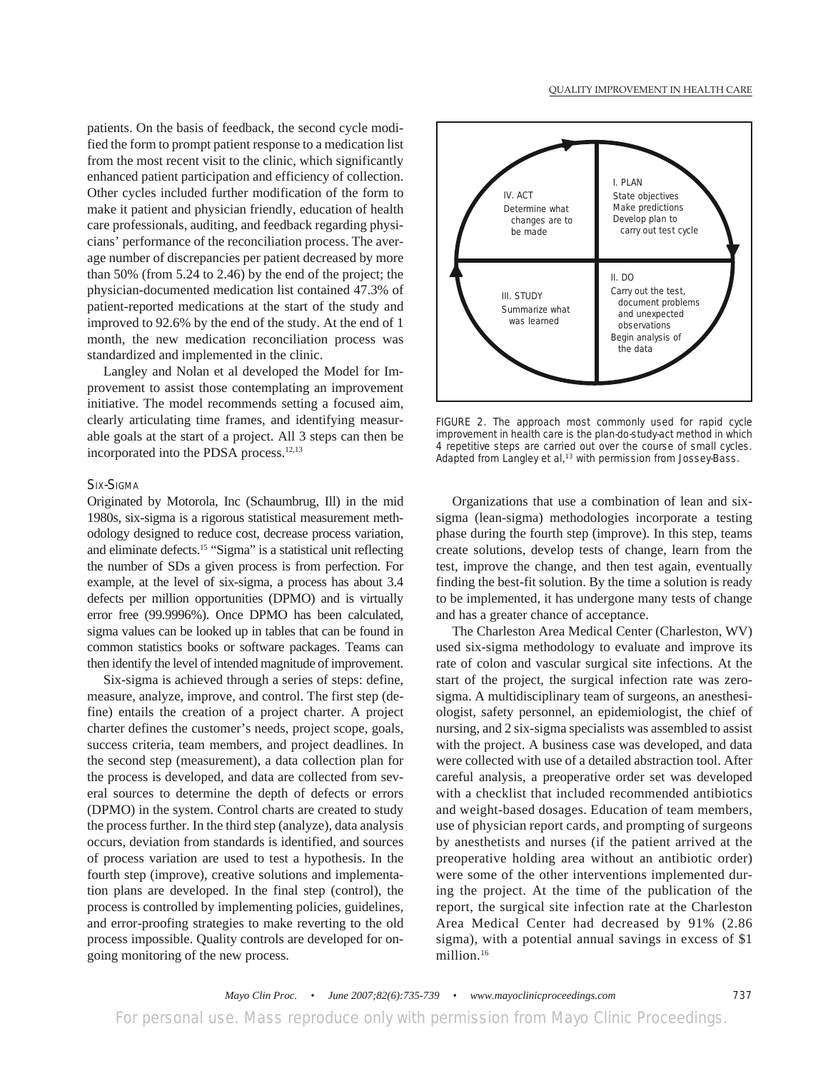patients. On the basis of feedback, the second cycle modified the form to prompt patient response to a medication list from the most recent visit to the clinic, which significantly enhanced patient participation and efficiency of collection. Other cycles included further modification of the form to make it patient and physician friendly, education of health care professionals, auditing, and feedback regarding physicians' performance of the reconciliation process. The average number of discrepancies per patient decreased by more than 50% (from 5.24 to 2.46) by the end of the project; the physician-documented medication list contained 47.3% of patient-reported medications at the start of the study and improved to 92.6% by the end of the study. At the end of 1 month, the new medication reconciliation process was standardized and implemented in the clinic.

Langley and Nolan et al developed the Model for Improvement to assist those contemplating an improvement initiative. The model recommends setting a focused aim, clearly articulating time frames, and identifying measurable goals at the start of a project. All 3 steps can then be incorporated into the PDSA process.<sup>12,13</sup>

#### SIX-SIGMA

Originated by Motorola, Inc (Schaumbrug, Ill) in the mid 1980s, six-sigma is a rigorous statistical measurement methodology designed to reduce cost, decrease process variation, and eliminate defects.<sup>15</sup> "Sigma" is a statistical unit reflecting the number of SDs a given process is from perfection. For example, at the level of six-sigma, a process has about 3.4 defects per million opportunities (DPMO) and is virtually error free (99.9996%). Once DPMO has been calculated, sigma values can be looked up in tables that can be found in common statistics books or software packages. Teams can then identify the level of intended magnitude of improvement.

Six-sigma is achieved through a series of steps: define, measure, analyze, improve, and control. The first step (define) entails the creation of a project charter. A project charter defines the customer's needs, project scope, goals, success criteria, team members, and project deadlines. In the second step (measurement), a data collection plan for the process is developed, and data are collected from several sources to determine the depth of defects or errors (DPMO) in the system. Control charts are created to study the process further. In the third step (analyze), data analysis occurs, deviation from standards is identified, and sources of process variation are used to test a hypothesis. In the fourth step (improve), creative solutions and implementation plans are developed. In the final step (control), the process is controlled by implementing policies, guidelines, and error-proofing strategies to make reverting to the old process impossible. Quality controls are developed for ongoing monitoring of the new process.



FIGURE 2. The approach most commonly used for rapid cycle improvement in health care is the plan-do-study-act method in which 4 repetitive steps are carried out over the course of small cycles. Adapted from Langley et al,<sup>13</sup> with permission from Jossey-Bass.

Organizations that use a combination of lean and sixsigma (lean-sigma) methodologies incorporate a testing phase during the fourth step (improve). In this step, teams create solutions, develop tests of change, learn from the test, improve the change, and then test again, eventually finding the best-fit solution. By the time a solution is ready to be implemented, it has undergone many tests of change and has a greater chance of acceptance.

The Charleston Area Medical Center (Charleston, WV) used six-sigma methodology to evaluate and improve its rate of colon and vascular surgical site infections. At the start of the project, the surgical infection rate was zerosigma. A multidisciplinary team of surgeons, an anesthesiologist, safety personnel, an epidemiologist, the chief of nursing, and 2 six-sigma specialists was assembled to assist with the project. A business case was developed, and data were collected with use of a detailed abstraction tool. After careful analysis, a preoperative order set was developed with a checklist that included recommended antibiotics and weight-based dosages. Education of team members, use of physician report cards, and prompting of surgeons by anesthetists and nurses (if the patient arrived at the preoperative holding area without an antibiotic order) were some of the other interventions implemented during the project. At the time of the publication of the report, the surgical site infection rate at the Charleston Area Medical Center had decreased by 91% (2.86 sigma), with a potential annual savings in excess of \$1 million.16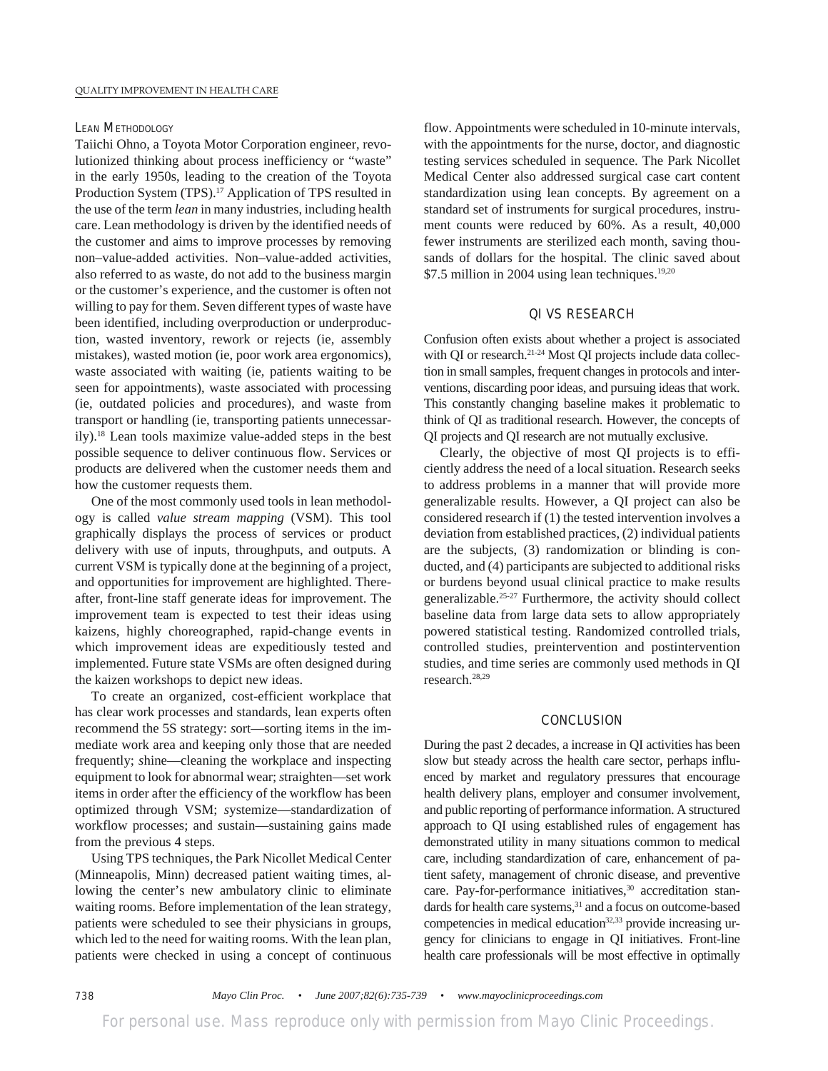#### LEAN METHODOLOGY

Taiichi Ohno, a Toyota Motor Corporation engineer, revolutionized thinking about process inefficiency or "waste" in the early 1950s, leading to the creation of the Toyota Production System (TPS).17 Application of TPS resulted in the use of the term *lean* in many industries, including health care. Lean methodology is driven by the identified needs of the customer and aims to improve processes by removing non–value-added activities. Non–value-added activities, also referred to as waste, do not add to the business margin or the customer's experience, and the customer is often not willing to pay for them. Seven different types of waste have been identified, including overproduction or underproduction, wasted inventory, rework or rejects (ie, assembly mistakes), wasted motion (ie, poor work area ergonomics), waste associated with waiting (ie, patients waiting to be seen for appointments), waste associated with processing (ie, outdated policies and procedures), and waste from transport or handling (ie, transporting patients unnecessarily).18 Lean tools maximize value-added steps in the best possible sequence to deliver continuous flow. Services or products are delivered when the customer needs them and how the customer requests them.

One of the most commonly used tools in lean methodology is called *value stream mapping* (VSM). This tool graphically displays the process of services or product delivery with use of inputs, throughputs, and outputs. A current VSM is typically done at the beginning of a project, and opportunities for improvement are highlighted. Thereafter, front-line staff generate ideas for improvement. The improvement team is expected to test their ideas using kaizens, highly choreographed, rapid-change events in which improvement ideas are expeditiously tested and implemented. Future state VSMs are often designed during the kaizen workshops to depict new ideas.

To create an organized, cost-efficient workplace that has clear work processes and standards, lean experts often recommend the 5S strategy: *s*ort—sorting items in the immediate work area and keeping only those that are needed frequently; *s*hine—cleaning the workplace and inspecting equipment to look for abnormal wear; *s*traighten—set work items in order after the efficiency of the workflow has been optimized through VSM; *s*ystemize—standardization of workflow processes; and *s*ustain—sustaining gains made from the previous 4 steps.

Using TPS techniques, the Park Nicollet Medical Center (Minneapolis, Minn) decreased patient waiting times, allowing the center's new ambulatory clinic to eliminate waiting rooms. Before implementation of the lean strategy, patients were scheduled to see their physicians in groups, which led to the need for waiting rooms. With the lean plan, patients were checked in using a concept of continuous

flow. Appointments were scheduled in 10-minute intervals, with the appointments for the nurse, doctor, and diagnostic testing services scheduled in sequence. The Park Nicollet Medical Center also addressed surgical case cart content standardization using lean concepts. By agreement on a standard set of instruments for surgical procedures, instrument counts were reduced by 60%. As a result, 40,000 fewer instruments are sterilized each month, saving thousands of dollars for the hospital. The clinic saved about \$7.5 million in 2004 using lean techniques.<sup>19,20</sup>

## QI VS RESEARCH

Confusion often exists about whether a project is associated with QI or research.<sup>21-24</sup> Most QI projects include data collection in small samples, frequent changes in protocols and interventions, discarding poor ideas, and pursuing ideas that work. This constantly changing baseline makes it problematic to think of QI as traditional research. However, the concepts of QI projects and QI research are not mutually exclusive.

Clearly, the objective of most QI projects is to efficiently address the need of a local situation. Research seeks to address problems in a manner that will provide more generalizable results. However, a QI project can also be considered research if (1) the tested intervention involves a deviation from established practices, (2) individual patients are the subjects, (3) randomization or blinding is conducted, and (4) participants are subjected to additional risks or burdens beyond usual clinical practice to make results generalizable.25-27 Furthermore, the activity should collect baseline data from large data sets to allow appropriately powered statistical testing. Randomized controlled trials, controlled studies, preintervention and postintervention studies, and time series are commonly used methods in QI research.28,29

#### **CONCLUSION**

During the past 2 decades, a increase in QI activities has been slow but steady across the health care sector, perhaps influenced by market and regulatory pressures that encourage health delivery plans, employer and consumer involvement, and public reporting of performance information. A structured approach to QI using established rules of engagement has demonstrated utility in many situations common to medical care, including standardization of care, enhancement of patient safety, management of chronic disease, and preventive care. Pay-for-performance initiatives,<sup>30</sup> accreditation standards for health care systems,<sup>31</sup> and a focus on outcome-based competencies in medical education<sup>32,33</sup> provide increasing urgency for clinicians to engage in QI initiatives. Front-line health care professionals will be most effective in optimally